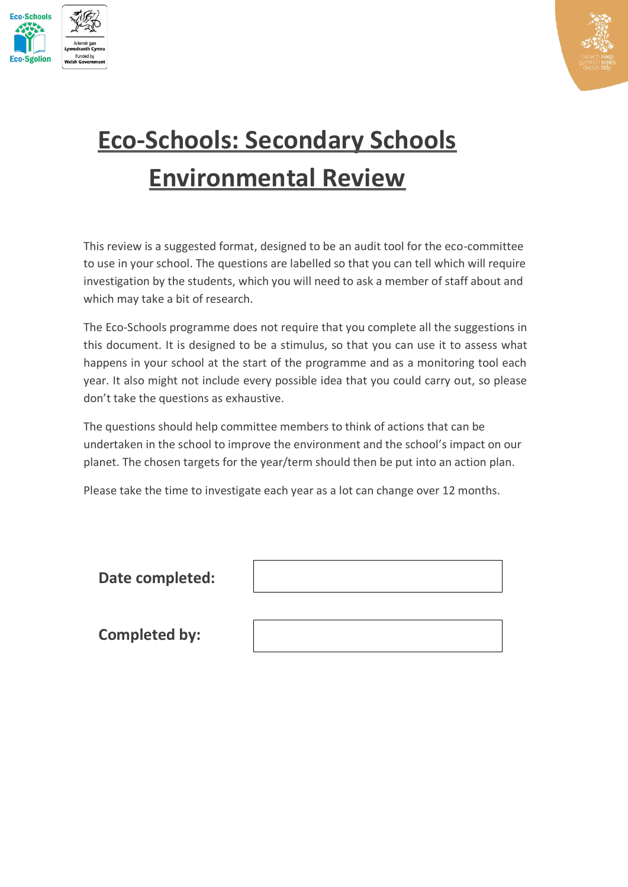



# **Eco-Schools: Secondary Schools Environmental Review**

This review is a suggested format, designed to be an audit tool for the eco-committee to use in your school. The questions are labelled so that you can tell which will require investigation by the students, which you will need to ask a member of staff about and which may take a bit of research.

The Eco-Schools programme does not require that you complete all the suggestions in this document. It is designed to be a stimulus, so that you can use it to assess what happens in your school at the start of the programme and as a monitoring tool each year. It also might not include every possible idea that you could carry out, so please don't take the questions as exhaustive.

The questions should help committee members to think of actions that can be undertaken in the school to improve the environment and the school's impact on our planet. The chosen targets for the year/term should then be put into an action plan.

Please take the time to investigate each year as a lot can change over 12 months.

| Date completed:      |  |
|----------------------|--|
|                      |  |
| <b>Completed by:</b> |  |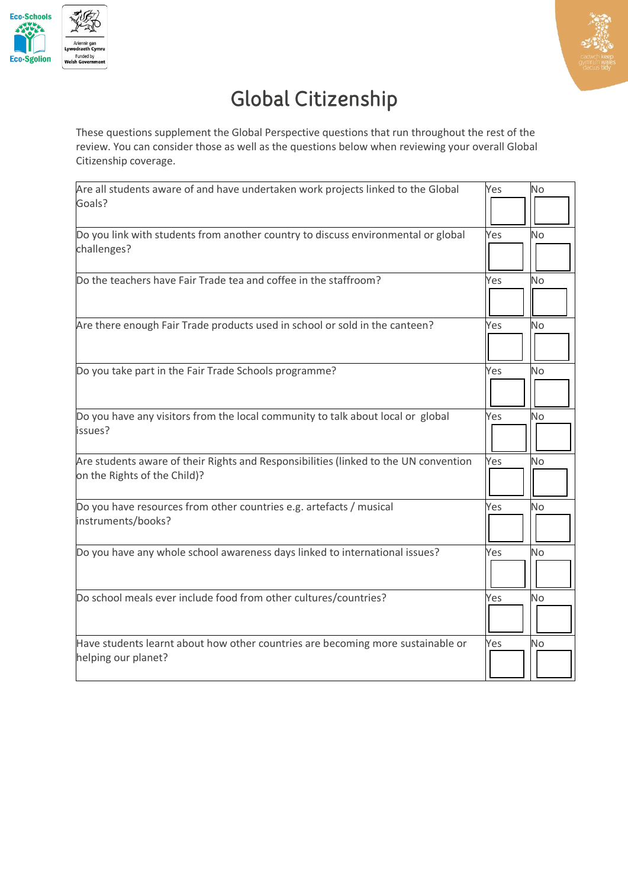



## Global Citizenship

These questions supplement the Global Perspective questions that run throughout the rest of the review. You can consider those as well as the questions below when reviewing your overall Global Citizenship coverage.

| Are all students aware of and have undertaken work projects linked to the Global     | Yes | <b>No</b> |
|--------------------------------------------------------------------------------------|-----|-----------|
| Goals?                                                                               |     |           |
| Do you link with students from another country to discuss environmental or global    | Yes | <b>No</b> |
| challenges?                                                                          |     |           |
| Do the teachers have Fair Trade tea and coffee in the staffroom?                     | Yes | <b>No</b> |
|                                                                                      |     |           |
| Are there enough Fair Trade products used in school or sold in the canteen?          | Yes | No        |
|                                                                                      |     |           |
| Do you take part in the Fair Trade Schools programme?                                | Yes | No        |
|                                                                                      |     |           |
| Do you have any visitors from the local community to talk about local or global      | Yes | No        |
| issues?                                                                              |     |           |
| Are students aware of their Rights and Responsibilities (linked to the UN convention | Yes | No        |
| on the Rights of the Child)?                                                         |     |           |
| Do you have resources from other countries e.g. artefacts / musical                  | Yes | <b>No</b> |
| instruments/books?                                                                   |     |           |
| Do you have any whole school awareness days linked to international issues?          | Yes | <b>No</b> |
|                                                                                      |     |           |
| Do school meals ever include food from other cultures/countries?                     | Yes | No        |
|                                                                                      |     |           |
| Have students learnt about how other countries are becoming more sustainable or      | Yes | <b>No</b> |
| helping our planet?                                                                  |     |           |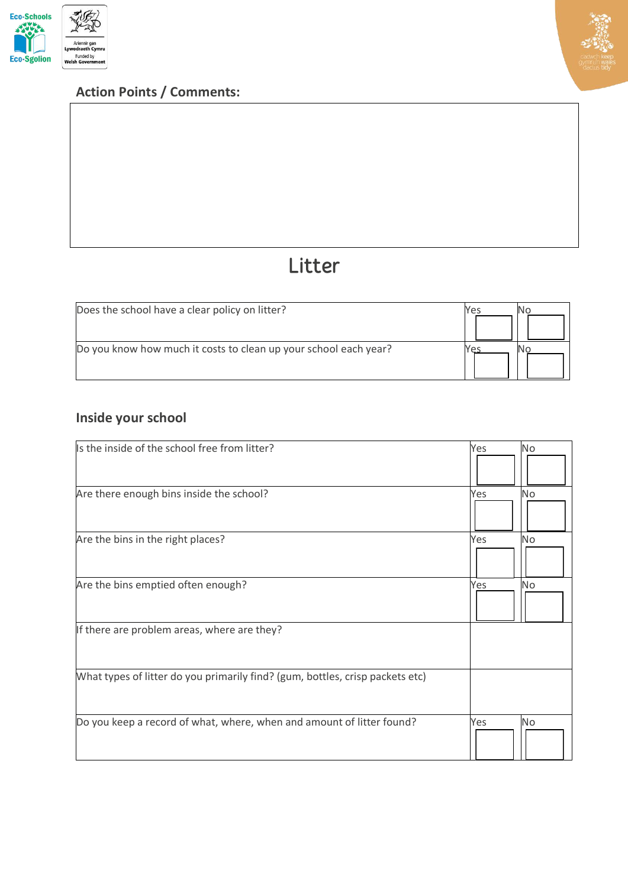





## Litter

| Does the school have a clear policy on litter?                   | Yes |  |
|------------------------------------------------------------------|-----|--|
| Do you know how much it costs to clean up your school each year? |     |  |

## **Inside your school**

| Is the inside of the school free from litter?                                 | <b>No</b><br>Yes |
|-------------------------------------------------------------------------------|------------------|
| Are there enough bins inside the school?                                      | <b>No</b><br>Yes |
| Are the bins in the right places?                                             | No<br>Yes        |
| Are the bins emptied often enough?                                            | Yes<br>No        |
| If there are problem areas, where are they?                                   |                  |
| What types of litter do you primarily find? (gum, bottles, crisp packets etc) |                  |
| Do you keep a record of what, where, when and amount of litter found?         | <b>No</b><br>Yes |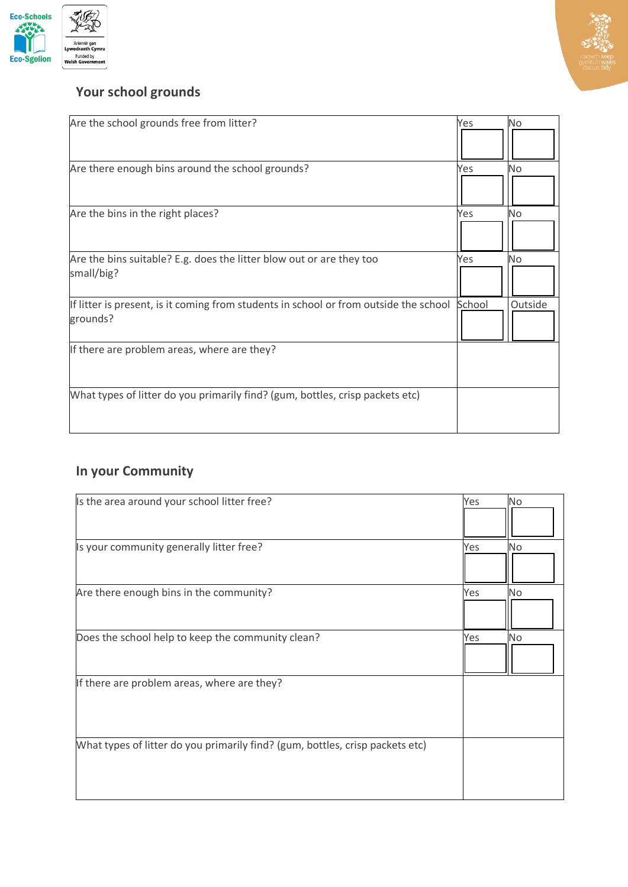



## **Your school grounds**

| Are the school grounds free from litter?                                                          | Yes    | No      |
|---------------------------------------------------------------------------------------------------|--------|---------|
| Are there enough bins around the school grounds?                                                  | Yes    | No      |
| Are the bins in the right places?                                                                 | Yes    | No      |
| Are the bins suitable? E.g. does the litter blow out or are they too<br>small/big?                | Yes    | No      |
| If litter is present, is it coming from students in school or from outside the school<br>grounds? | School | Outside |
| If there are problem areas, where are they?                                                       |        |         |
| What types of litter do you primarily find? (gum, bottles, crisp packets etc)                     |        |         |

## **In your Community**

| Is the area around your school litter free?                                   | Yes | No        |
|-------------------------------------------------------------------------------|-----|-----------|
| Is your community generally litter free?                                      | Yes | <b>No</b> |
| Are there enough bins in the community?                                       | Yes | <b>No</b> |
| Does the school help to keep the community clean?                             | Yes | <b>No</b> |
| If there are problem areas, where are they?                                   |     |           |
| What types of litter do you primarily find? (gum, bottles, crisp packets etc) |     |           |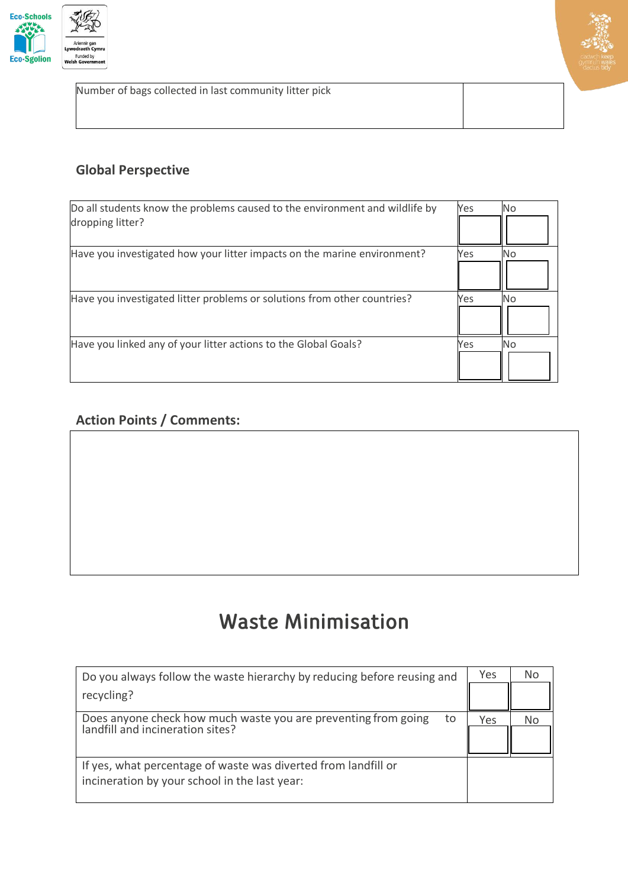



Number of bags collected in last community litter pick

#### **Global Perspective**

| Do all students know the problems caused to the environment and wildlife by<br>dropping litter? | Yes | <b>No</b> |
|-------------------------------------------------------------------------------------------------|-----|-----------|
| Have you investigated how your litter impacts on the marine environment?                        | Yes | No.       |
| Have you investigated litter problems or solutions from other countries?                        | Yes | No.       |
| Have you linked any of your litter actions to the Global Goals?                                 | Yes | <b>No</b> |

#### **Action Points / Comments:**

## **Waste Minimisation**

| Do you always follow the waste hierarchy by reducing before reusing and                                         |     | No |
|-----------------------------------------------------------------------------------------------------------------|-----|----|
| recycling?                                                                                                      |     |    |
| Does anyone check how much waste you are preventing from going<br>to<br>landfill and incineration sites?        | Yes | No |
| If yes, what percentage of waste was diverted from landfill or<br>incineration by your school in the last year: |     |    |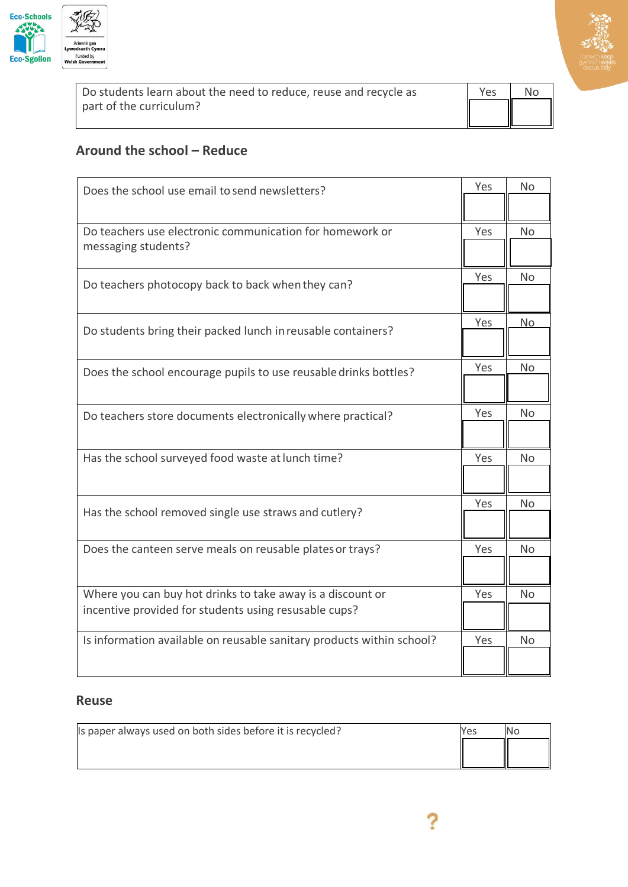

| عد ماہ، | <b>V</b> oc | N <sub>0</sub> |  |
|---------|-------------|----------------|--|

| Do students learn about the need to reduce, reuse and recycle as | Yes. | No |
|------------------------------------------------------------------|------|----|
| part of the curriculum?                                          | ║    |    |

#### **Around the school – Reduce**

| Does the school use email to send newsletters?                        |     | No        |
|-----------------------------------------------------------------------|-----|-----------|
|                                                                       |     |           |
| Do teachers use electronic communication for homework or              | Yes | <b>No</b> |
| messaging students?                                                   |     |           |
| Do teachers photocopy back to back when they can?                     | Yes | No        |
|                                                                       |     |           |
| Do students bring their packed lunch in reusable containers?          | Yes | <u>No</u> |
|                                                                       |     |           |
| Does the school encourage pupils to use reusable drinks bottles?      | Yes | No        |
|                                                                       |     |           |
| Do teachers store documents electronically where practical?           | Yes | No        |
|                                                                       |     |           |
| Has the school surveyed food waste at lunch time?                     | Yes | No        |
|                                                                       |     |           |
|                                                                       | Yes | No        |
| Has the school removed single use straws and cutlery?                 |     |           |
| Does the canteen serve meals on reusable plates or trays?             | Yes | <b>No</b> |
|                                                                       |     |           |
| Where you can buy hot drinks to take away is a discount or            | Yes | <b>No</b> |
| incentive provided for students using resusable cups?                 |     |           |
| Is information available on reusable sanitary products within school? | Yes | <b>No</b> |
|                                                                       |     |           |

#### **Reuse**

| Is paper always used on both sides before it is recycled? | Yes |  |
|-----------------------------------------------------------|-----|--|
|                                                           |     |  |
|                                                           |     |  |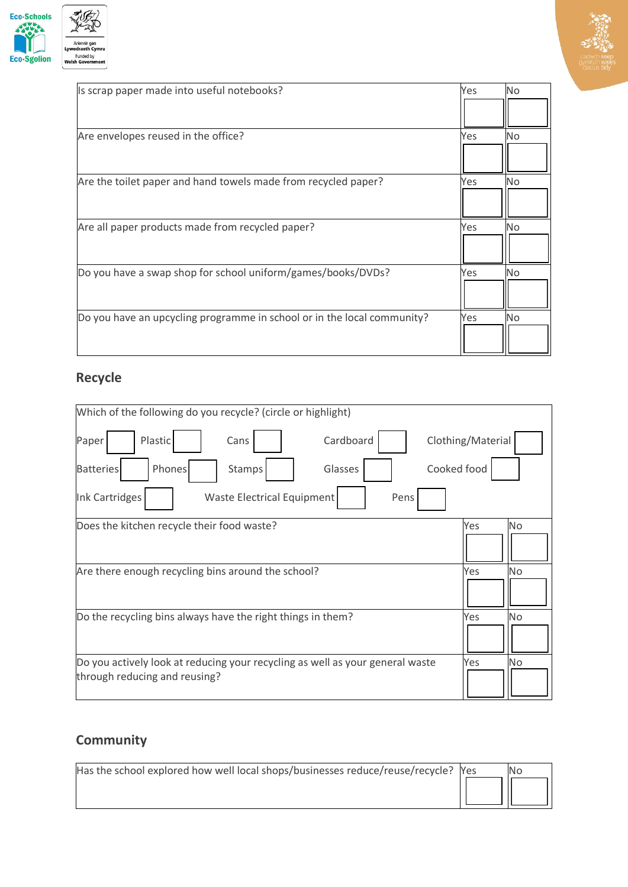



| Is scrap paper made into useful notebooks?                              | Yes | No |
|-------------------------------------------------------------------------|-----|----|
|                                                                         |     |    |
| Are envelopes reused in the office?                                     | Yes | No |
|                                                                         |     |    |
| Are the toilet paper and hand towels made from recycled paper?          | Yes | No |
|                                                                         |     |    |
| Are all paper products made from recycled paper?                        | Yes | No |
|                                                                         |     |    |
| Do you have a swap shop for school uniform/games/books/DVDs?            | Yes | No |
|                                                                         |     |    |
| Do you have an upcycling programme in school or in the local community? | Yes | No |
|                                                                         |     |    |

## **Recycle**

| Which of the following do you recycle? (circle or highlight)                  |                   |                |
|-------------------------------------------------------------------------------|-------------------|----------------|
| Cardboard<br>Plastic<br>Paper<br>Cans                                         | Clothing/Material |                |
| Phones<br>Cooked food<br>Glasses<br><b>Batteries</b><br>Stamps                |                   |                |
| Waste Electrical Equipment<br><b>Ink Cartridges</b><br>Pens                   |                   |                |
| Does the kitchen recycle their food waste?                                    | Yes               | N <sub>o</sub> |
|                                                                               |                   |                |
| Are there enough recycling bins around the school?                            | Yes               | No             |
|                                                                               |                   |                |
| Do the recycling bins always have the right things in them?                   | Yes               | No             |
|                                                                               |                   |                |
| Do you actively look at reducing your recycling as well as your general waste | Yes               | <b>No</b>      |
| through reducing and reusing?                                                 |                   |                |

## **Community**

| Has the school explored how well local shops/businesses reduce/reuse/recycle? Yes |  |
|-----------------------------------------------------------------------------------|--|
|                                                                                   |  |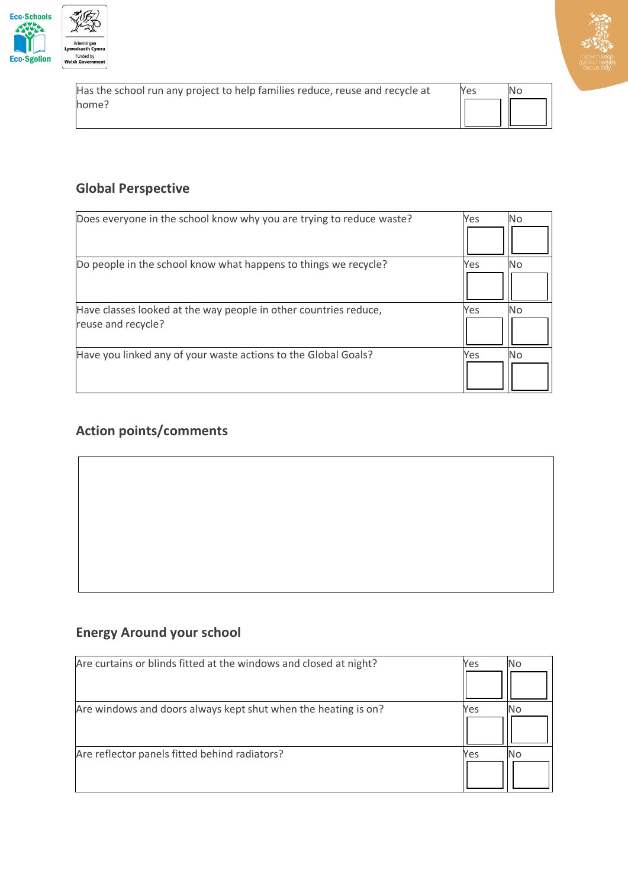

| Has the school run any project to help families reduce, reuse and recycle at | Yes | No |
|------------------------------------------------------------------------------|-----|----|
| home?                                                                        |     |    |
|                                                                              |     |    |

#### **Global Perspective**

| Does everyone in the school know why you are trying to reduce waste? | Yes<br>No |
|----------------------------------------------------------------------|-----------|
|                                                                      |           |
| Do people in the school know what happens to things we recycle?      | Yes<br>Nο |
|                                                                      |           |
| Have classes looked at the way people in other countries reduce,     | Yes<br>No |
| reuse and recycle?                                                   |           |
| Have you linked any of your waste actions to the Global Goals?       | Yes<br>No |
|                                                                      |           |

#### **Action points/comments**

## **Energy Around your school**

| Are curtains or blinds fitted at the windows and closed at night? | Yes | No |
|-------------------------------------------------------------------|-----|----|
|                                                                   |     |    |
| Are windows and doors always kept shut when the heating is on?    | Yes |    |
|                                                                   |     |    |
| Are reflector panels fitted behind radiators?                     | Yes |    |
|                                                                   |     |    |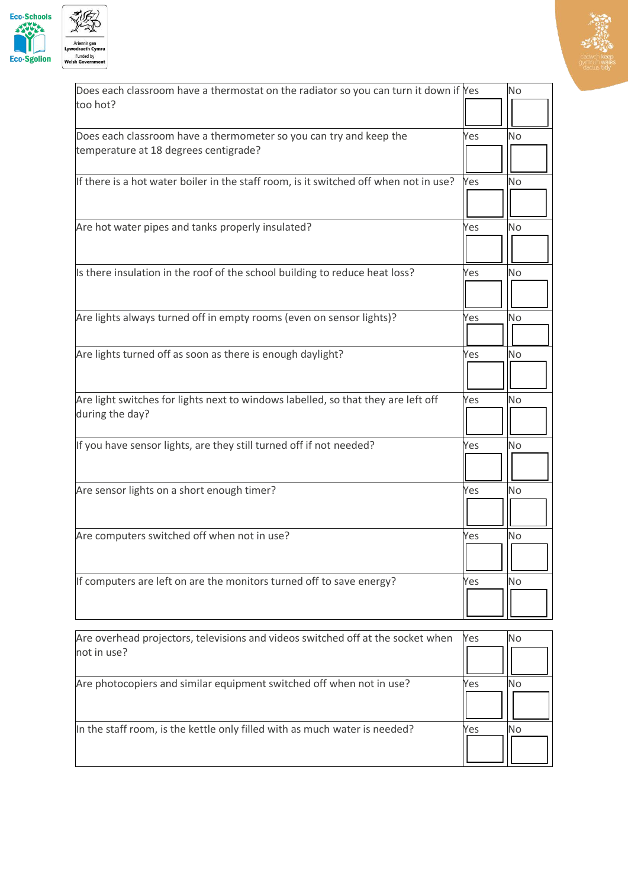



| Does each classroom have a thermostat on the radiator so you can turn it down if Yes                 |     | No        |
|------------------------------------------------------------------------------------------------------|-----|-----------|
| too hot?                                                                                             |     |           |
| Does each classroom have a thermometer so you can try and keep the                                   | Yes | No        |
| temperature at 18 degrees centigrade?                                                                |     |           |
| If there is a hot water boiler in the staff room, is it switched off when not in use?                | Yes | No        |
| Are hot water pipes and tanks properly insulated?                                                    | Yes | No        |
| Is there insulation in the roof of the school building to reduce heat loss?                          | Yes | No        |
| Are lights always turned off in empty rooms (even on sensor lights)?                                 | Yes | No        |
| Are lights turned off as soon as there is enough daylight?                                           | Yes | <b>No</b> |
| Are light switches for lights next to windows labelled, so that they are left off<br>during the day? | Yes | No        |
| If you have sensor lights, are they still turned off if not needed?                                  | Yes | No        |
| Are sensor lights on a short enough timer?                                                           | Yes | No        |
| Are computers switched off when not in use?                                                          | Yes | No        |
| If computers are left on are the monitors turned off to save energy?                                 | Yes | No        |

| Are overhead projectors, televisions and videos switched off at the socket when<br>not in use? | Yes | NΟ |
|------------------------------------------------------------------------------------------------|-----|----|
|                                                                                                |     |    |
| Are photocopiers and similar equipment switched off when not in use?                           | Yes |    |
| In the staff room, is the kettle only filled with as much water is needed?                     | Yes |    |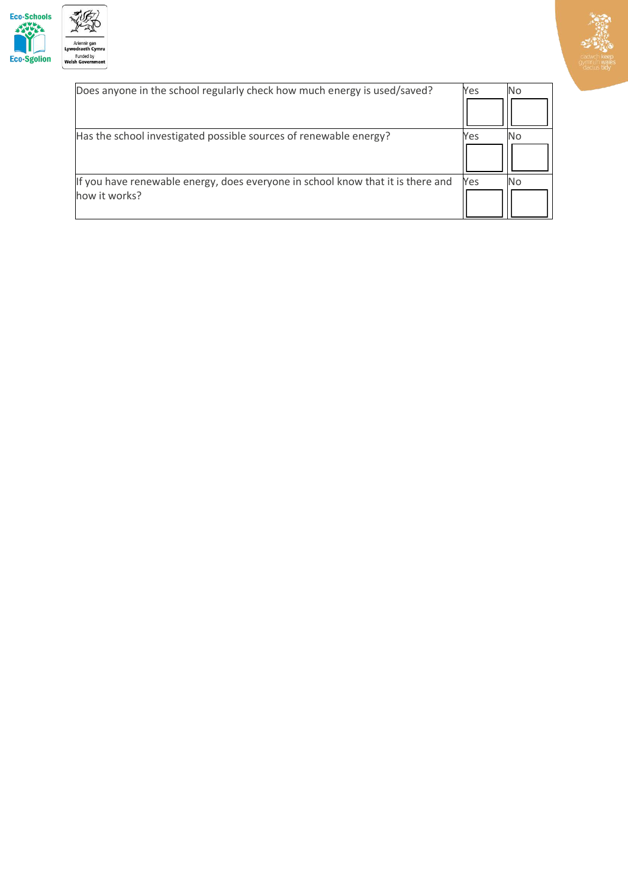



| Does anyone in the school regularly check how much energy is used/saved?                         | Yes | No |
|--------------------------------------------------------------------------------------------------|-----|----|
|                                                                                                  |     |    |
| Has the school investigated possible sources of renewable energy?                                | Yes |    |
| If you have renewable energy, does everyone in school know that it is there and<br>how it works? | Yes | Nο |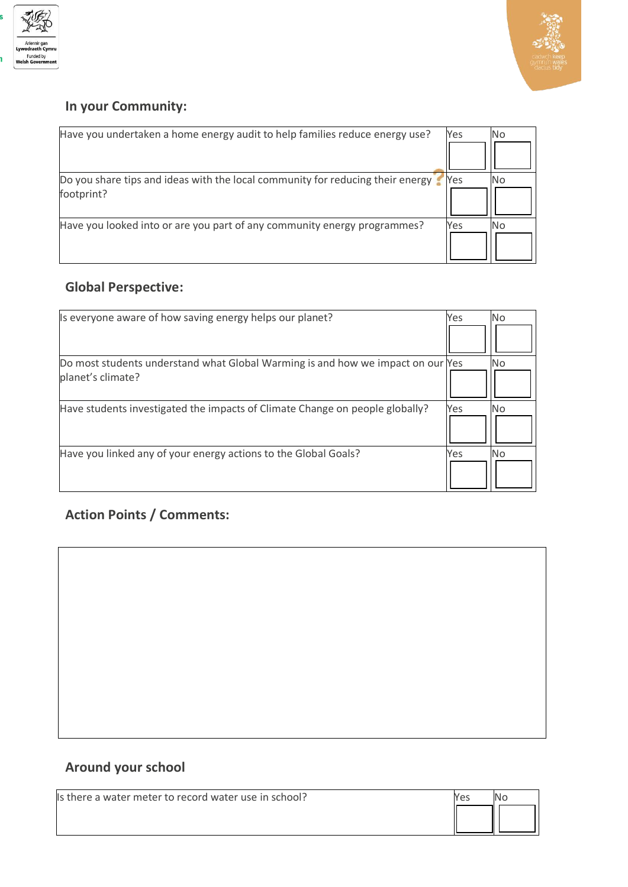



#### **In your Community:**

| Have you undertaken a home energy audit to help families reduce energy use?                  | Yes | <b>No</b> |
|----------------------------------------------------------------------------------------------|-----|-----------|
| Do you share tips and ideas with the local community for reducing their energy<br>footprint? | Yes | No        |
| Have you looked into or are you part of any community energy programmes?                     | Yes | Nο        |

#### **Global Perspective:**

| Is everyone aware of how saving energy helps our planet?                        | Yes | <b>No</b> |
|---------------------------------------------------------------------------------|-----|-----------|
|                                                                                 |     |           |
| Do most students understand what Global Warming is and how we impact on our Yes |     | No.       |
| planet's climate?                                                               |     |           |
| Have students investigated the impacts of Climate Change on people globally?    | Yes | No.       |
| Have you linked any of your energy actions to the Global Goals?                 | Yes | <b>No</b> |

#### **Action Points / Comments:**

### **Around your school**

Is there a water meter to record water use in school?

| es | $\overline{O}$ |
|----|----------------|
|    |                |
|    |                |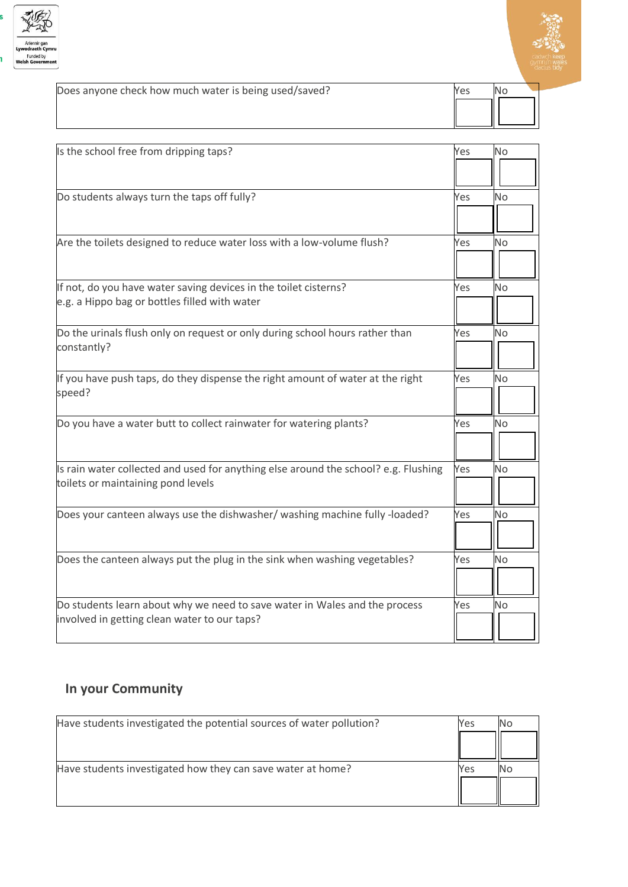



| Does anyone check how much water is being used/saved? | Yes |  |
|-------------------------------------------------------|-----|--|
|                                                       |     |  |
|                                                       |     |  |

| Is the school free from dripping taps?                                              | Yes | <b>No</b>      |
|-------------------------------------------------------------------------------------|-----|----------------|
|                                                                                     |     |                |
| Do students always turn the taps off fully?                                         | Yes | No             |
|                                                                                     |     |                |
| Are the toilets designed to reduce water loss with a low-volume flush?              | Yes | No             |
|                                                                                     |     |                |
| If not, do you have water saving devices in the toilet cisterns?                    | Yes | No             |
| e.g. a Hippo bag or bottles filled with water                                       |     |                |
| Do the urinals flush only on request or only during school hours rather than        | Yes | No             |
| constantly?                                                                         |     |                |
| If you have push taps, do they dispense the right amount of water at the right      | Yes | No             |
| speed?                                                                              |     |                |
| Do you have a water butt to collect rainwater for watering plants?                  | Yes | No             |
|                                                                                     |     |                |
| Is rain water collected and used for anything else around the school? e.g. Flushing | Yes | No             |
| toilets or maintaining pond levels                                                  |     |                |
| Does your canteen always use the dishwasher/ washing machine fully -loaded?         | Yes | No.            |
|                                                                                     |     |                |
| Does the canteen always put the plug in the sink when washing vegetables?           | Yes | N <sub>o</sub> |
|                                                                                     |     |                |
| Do students learn about why we need to save water in Wales and the process          | Yes | No             |
| involved in getting clean water to our taps?                                        |     |                |

## **In your Community**

| Have students investigated the potential sources of water pollution? | Yes |  |
|----------------------------------------------------------------------|-----|--|
|                                                                      |     |  |
| Have students investigated how they can save water at home?          | Yes |  |
|                                                                      |     |  |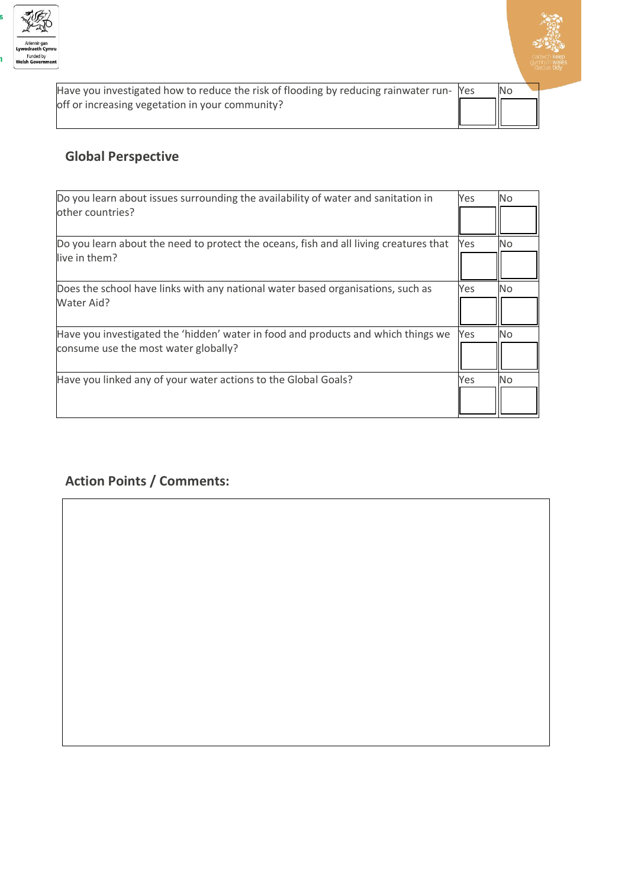



| Have you investigated how to reduce the risk of flooding by reducing rainwater run- Yes | No |
|-----------------------------------------------------------------------------------------|----|
| off or increasing vegetation in your community?                                         |    |

#### **Global Perspective**

| Do you learn about issues surrounding the availability of water and sanitation in                                         | Yes | <b>No</b> |
|---------------------------------------------------------------------------------------------------------------------------|-----|-----------|
| other countries?                                                                                                          |     |           |
| Do you learn about the need to protect the oceans, fish and all living creatures that<br>live in them?                    | Yes | No        |
| Does the school have links with any national water based organisations, such as<br>Water Aid?                             | Yes | No.       |
| Have you investigated the 'hidden' water in food and products and which things we<br>consume use the most water globally? | Yes | <b>No</b> |
| Have you linked any of your water actions to the Global Goals?                                                            | Yes | No.       |

### **Action Points / Comments:**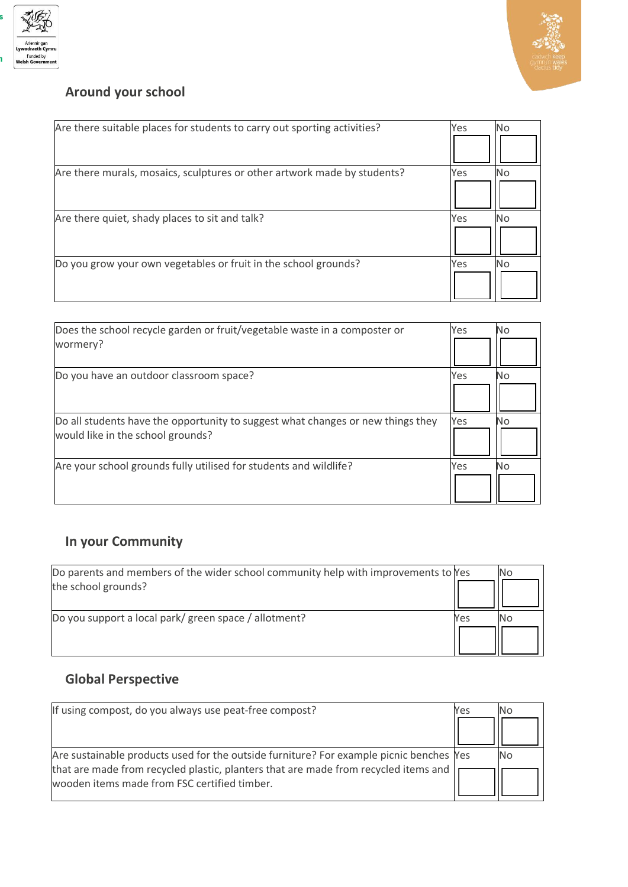



## **Around your school**

| Are there suitable places for students to carry out sporting activities? | Yes | No  |
|--------------------------------------------------------------------------|-----|-----|
| Are there murals, mosaics, sculptures or other artwork made by students? | Yes | No. |
| Are there quiet, shady places to sit and talk?                           | Yes | No  |
| Do you grow your own vegetables or fruit in the school grounds?          | Yes | No  |

| Does the school recycle garden or fruit/vegetable waste in a composter or       | Yes | <b>No</b> |
|---------------------------------------------------------------------------------|-----|-----------|
| wormery?                                                                        |     |           |
| Do you have an outdoor classroom space?                                         | Yes | No        |
|                                                                                 |     |           |
| Do all students have the opportunity to suggest what changes or new things they | Yes | No.       |
| would like in the school grounds?                                               |     |           |
| Are your school grounds fully utilised for students and wildlife?               | Yes | No        |
|                                                                                 |     |           |

## **In your Community**

| Do parents and members of the wider school community help with improvements to Yes<br>the school grounds? |     | No |
|-----------------------------------------------------------------------------------------------------------|-----|----|
| Do you support a local park/green space / allotment?                                                      | Yes | No |
|                                                                                                           |     |    |

## **Global Perspective**

| If using compost, do you always use peat-free compost?                                                                              | Yes |    |
|-------------------------------------------------------------------------------------------------------------------------------------|-----|----|
|                                                                                                                                     |     |    |
| Are sustainable products used for the outside furniture? For example picnic benches Yes                                             |     | NΟ |
| that are made from recycled plastic, planters that are made from recycled items and<br>wooden items made from FSC certified timber. |     |    |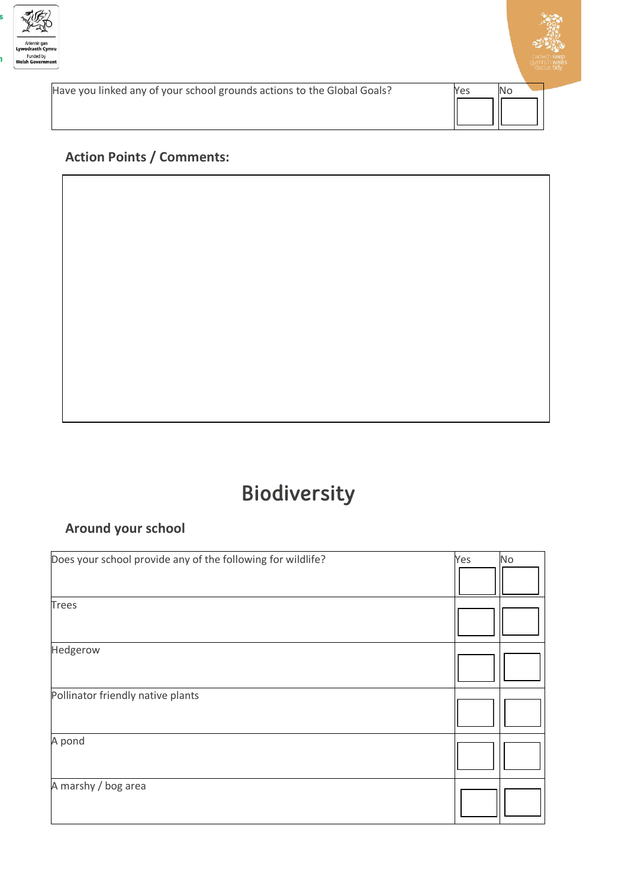



Have you linked any of your school grounds actions to the Global Goals? Yes No

#### **Action Points / Comments:**

## Biodiversity

#### **Around your school**

| Does your school provide any of the following for wildlife? | Yes | No |
|-------------------------------------------------------------|-----|----|
|                                                             |     |    |
| <b>Trees</b>                                                |     |    |
| Hedgerow                                                    |     |    |
| Pollinator friendly native plants                           |     |    |
| A pond                                                      |     |    |
| A marshy / bog area                                         |     |    |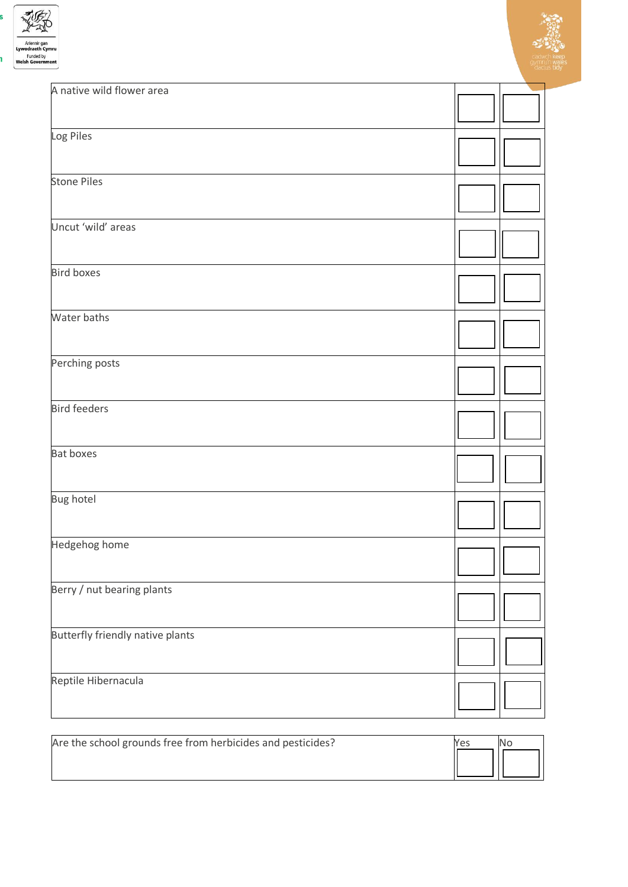



| A native wild flower area               |  |
|-----------------------------------------|--|
| Log Piles                               |  |
| <b>Stone Piles</b>                      |  |
| Uncut 'wild' areas                      |  |
| <b>Bird boxes</b>                       |  |
| Water baths                             |  |
| Perching posts                          |  |
| <b>Bird feeders</b>                     |  |
| <b>Bat boxes</b>                        |  |
| <b>Bug hotel</b>                        |  |
| Hedgehog home                           |  |
| Berry / nut bearing plants              |  |
| <b>Butterfly friendly native plants</b> |  |
| Reptile Hibernacula                     |  |

| Are the school grounds free from herbicides and pesticides? | Yes |  |
|-------------------------------------------------------------|-----|--|
|                                                             |     |  |
|                                                             |     |  |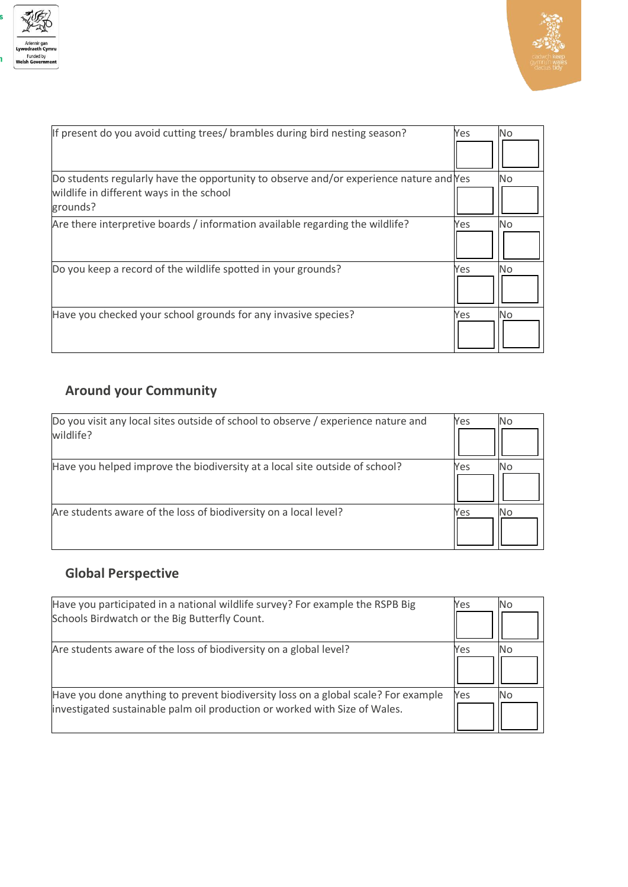



| If present do you avoid cutting trees/ brambles during bird nesting season?                                                                    | Yes | No        |
|------------------------------------------------------------------------------------------------------------------------------------------------|-----|-----------|
| Do students regularly have the opportunity to observe and/or experience nature and Yes<br>wildlife in different ways in the school<br>grounds? |     | No.       |
| Are there interpretive boards / information available regarding the wildlife?                                                                  | Yes | No.       |
| Do you keep a record of the wildlife spotted in your grounds?                                                                                  | Yes | <b>No</b> |
| Have you checked your school grounds for any invasive species?                                                                                 | Yes | <b>No</b> |

## **Around your Community**

| Do you visit any local sites outside of school to observe / experience nature and<br>wildlife? | Yes | No |
|------------------------------------------------------------------------------------------------|-----|----|
| Have you helped improve the biodiversity at a local site outside of school?                    | Yes | No |
| Are students aware of the loss of biodiversity on a local level?                               | Yes | No |

## **Global Perspective**

| Have you participated in a national wildlife survey? For example the RSPB Big<br>Schools Birdwatch or the Big Butterfly Count. | Yes | <b>No</b> |
|--------------------------------------------------------------------------------------------------------------------------------|-----|-----------|
|                                                                                                                                |     |           |
| Are students aware of the loss of biodiversity on a global level?                                                              | Yes | No.       |
|                                                                                                                                |     |           |
| Have you done anything to prevent biodiversity loss on a global scale? For example                                             | Yes | No        |
| investigated sustainable palm oil production or worked with Size of Wales.                                                     |     |           |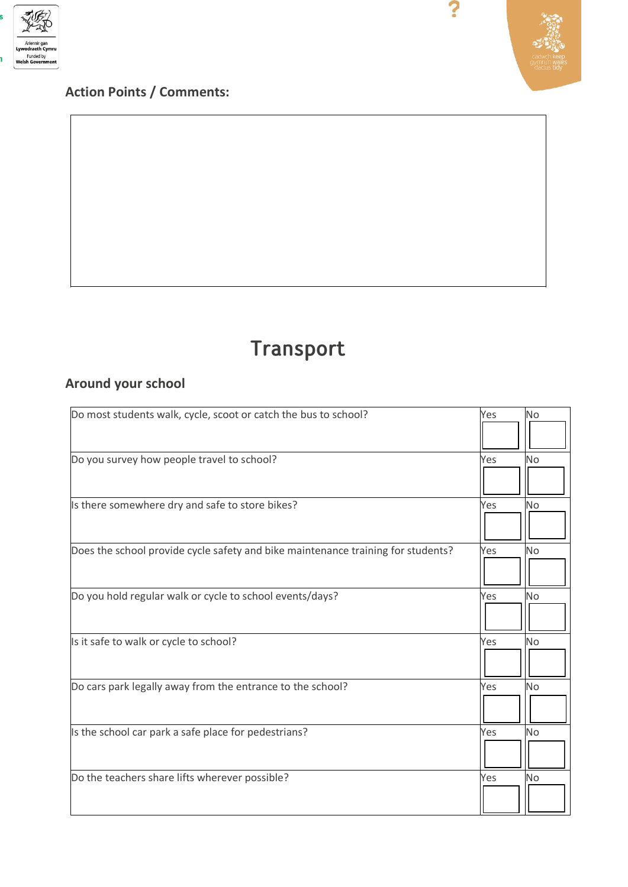

## **Action Points / Comments:**



?

## Transport

#### **Around your school**

| Do most students walk, cycle, scoot or catch the bus to school?                  | No<br>Yes        |
|----------------------------------------------------------------------------------|------------------|
| Do you survey how people travel to school?                                       | Yes<br><b>No</b> |
| Is there somewhere dry and safe to store bikes?                                  | Yes<br><b>No</b> |
| Does the school provide cycle safety and bike maintenance training for students? | No<br>Yes        |
| Do you hold regular walk or cycle to school events/days?                         | <b>No</b><br>Yes |
| Is it safe to walk or cycle to school?                                           | <b>No</b><br>Yes |
| Do cars park legally away from the entrance to the school?                       | <b>No</b><br>Yes |
| Is the school car park a safe place for pedestrians?                             | No<br>Yes        |
| Do the teachers share lifts wherever possible?                                   | Yes<br><b>No</b> |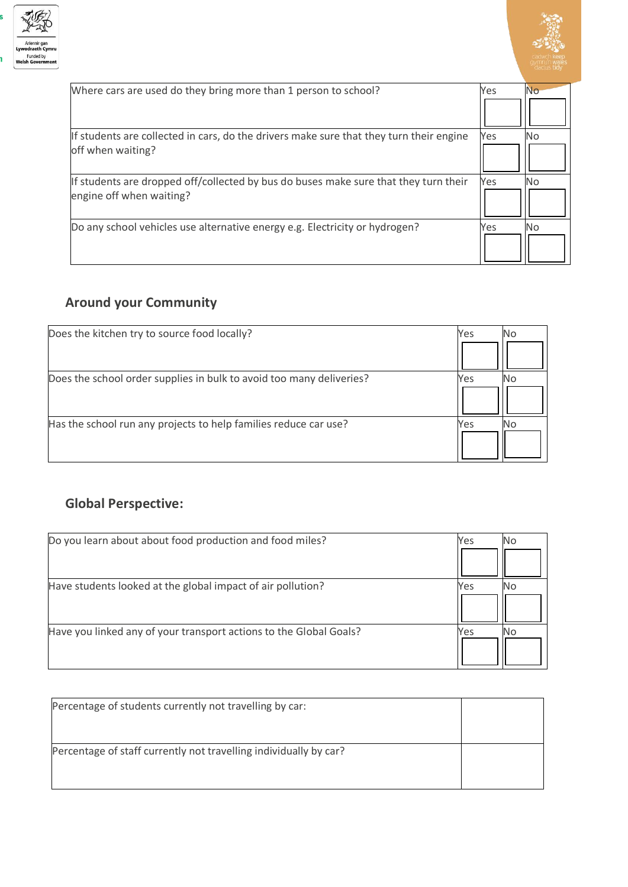



| Where cars are used do they bring more than 1 person to school?                         | Yes | No |
|-----------------------------------------------------------------------------------------|-----|----|
|                                                                                         |     |    |
| If students are collected in cars, do the drivers make sure that they turn their engine | Yes | No |
| off when waiting?                                                                       |     |    |
| If students are dropped off/collected by bus do buses make sure that they turn their    | Yes | No |
| engine off when waiting?                                                                |     |    |
| Do any school vehicles use alternative energy e.g. Electricity or hydrogen?             | Yes | No |
|                                                                                         |     |    |

## **Around your Community**

| Does the kitchen try to source food locally?                         | Yes | No. |
|----------------------------------------------------------------------|-----|-----|
|                                                                      |     |     |
| Does the school order supplies in bulk to avoid too many deliveries? | Yes |     |
|                                                                      |     |     |
| Has the school run any projects to help families reduce car use?     | Yes |     |
|                                                                      |     |     |

## **Global Perspective:**

| Do you learn about about food production and food miles?           | Yes | N0. |
|--------------------------------------------------------------------|-----|-----|
|                                                                    |     |     |
| Have students looked at the global impact of air pollution?        | Yes |     |
|                                                                    |     |     |
| Have you linked any of your transport actions to the Global Goals? | Yes |     |
|                                                                    |     |     |

| Percentage of students currently not travelling by car:           |  |
|-------------------------------------------------------------------|--|
|                                                                   |  |
| Percentage of staff currently not travelling individually by car? |  |
|                                                                   |  |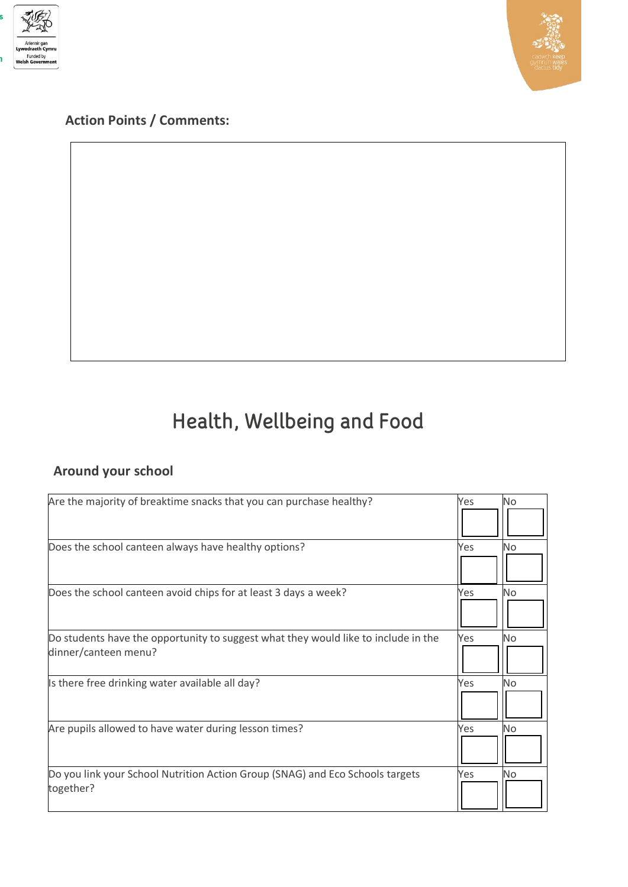



**Action Points / Comments:**

# Health, Wellbeing and Food

## **Around your school**

| Are the majority of breaktime snacks that you can purchase healthy?                                        | Yes | <b>No</b> |
|------------------------------------------------------------------------------------------------------------|-----|-----------|
|                                                                                                            |     |           |
| Does the school canteen always have healthy options?                                                       | Yes | No        |
| Does the school canteen avoid chips for at least 3 days a week?                                            | Yes | No        |
| Do students have the opportunity to suggest what they would like to include in the<br>dinner/canteen menu? | Yes | No        |
| Is there free drinking water available all day?                                                            | Yes | No        |
| Are pupils allowed to have water during lesson times?                                                      | Yes | No        |
| Do you link your School Nutrition Action Group (SNAG) and Eco Schools targets<br>together?                 | Yes | No        |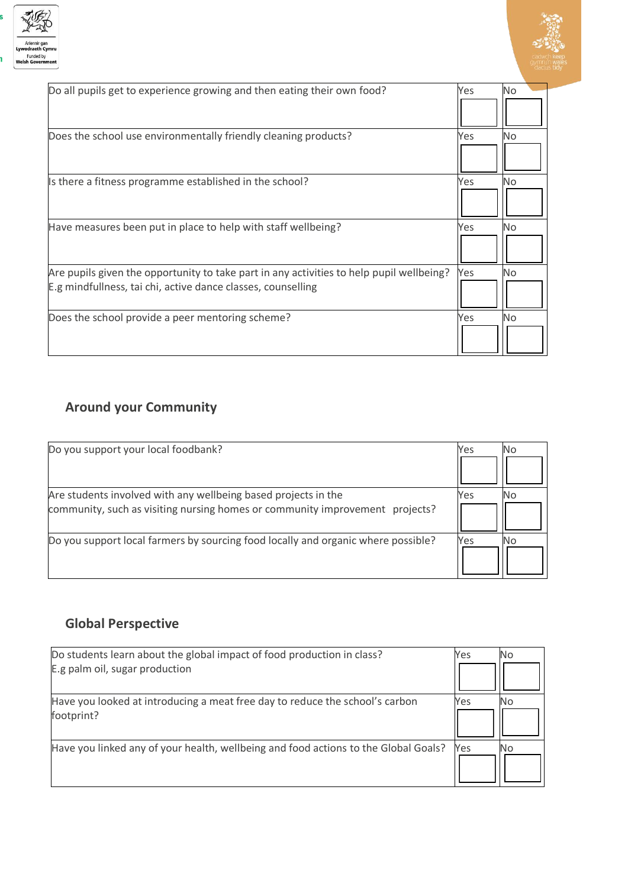



| Do all pupils get to experience growing and then eating their own food?                                                                                  | Yes | No.       |
|----------------------------------------------------------------------------------------------------------------------------------------------------------|-----|-----------|
| Does the school use environmentally friendly cleaning products?                                                                                          | Yes | No        |
| Is there a fitness programme established in the school?                                                                                                  | Yes | <b>No</b> |
|                                                                                                                                                          |     |           |
| Have measures been put in place to help with staff wellbeing?                                                                                            | Yes | <b>No</b> |
| Are pupils given the opportunity to take part in any activities to help pupil wellbeing?<br>E.g mindfullness, tai chi, active dance classes, counselling | Yes | No        |
| Does the school provide a peer mentoring scheme?                                                                                                         | Yes | <b>No</b> |

#### **Around your Community**

| Do you support your local foodbank?                                               | Yes | N0. |
|-----------------------------------------------------------------------------------|-----|-----|
|                                                                                   |     |     |
| Are students involved with any wellbeing based projects in the                    | Yes |     |
| community, such as visiting nursing homes or community improvement projects?      |     |     |
| Do you support local farmers by sourcing food locally and organic where possible? | Yes | No  |
|                                                                                   |     |     |

## **Global Perspective**

| Do students learn about the global impact of food production in class?                     | Yes | No |
|--------------------------------------------------------------------------------------------|-----|----|
| E.g palm oil, sugar production                                                             |     |    |
| Have you looked at introducing a meat free day to reduce the school's carbon<br>footprint? | Yes | No |
| Have you linked any of your health, wellbeing and food actions to the Global Goals?        | Yes | No |